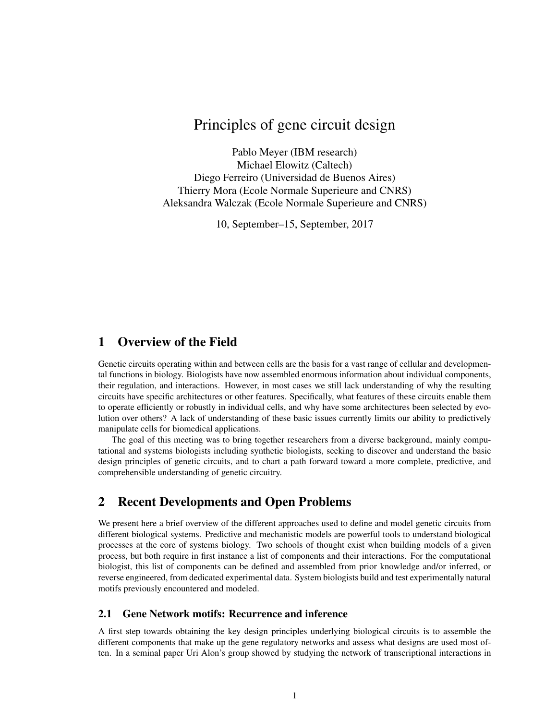# Principles of gene circuit design

Pablo Meyer (IBM research) Michael Elowitz (Caltech) Diego Ferreiro (Universidad de Buenos Aires) Thierry Mora (Ecole Normale Superieure and CNRS) Aleksandra Walczak (Ecole Normale Superieure and CNRS)

10, September–15, September, 2017

# 1 Overview of the Field

Genetic circuits operating within and between cells are the basis for a vast range of cellular and developmental functions in biology. Biologists have now assembled enormous information about individual components, their regulation, and interactions. However, in most cases we still lack understanding of why the resulting circuits have specific architectures or other features. Specifically, what features of these circuits enable them to operate efficiently or robustly in individual cells, and why have some architectures been selected by evolution over others? A lack of understanding of these basic issues currently limits our ability to predictively manipulate cells for biomedical applications.

The goal of this meeting was to bring together researchers from a diverse background, mainly computational and systems biologists including synthetic biologists, seeking to discover and understand the basic design principles of genetic circuits, and to chart a path forward toward a more complete, predictive, and comprehensible understanding of genetic circuitry.

# 2 Recent Developments and Open Problems

We present here a brief overview of the different approaches used to define and model genetic circuits from different biological systems. Predictive and mechanistic models are powerful tools to understand biological processes at the core of systems biology. Two schools of thought exist when building models of a given process, but both require in first instance a list of components and their interactions. For the computational biologist, this list of components can be defined and assembled from prior knowledge and/or inferred, or reverse engineered, from dedicated experimental data. System biologists build and test experimentally natural motifs previously encountered and modeled.

#### 2.1 Gene Network motifs: Recurrence and inference

A first step towards obtaining the key design principles underlying biological circuits is to assemble the different components that make up the gene regulatory networks and assess what designs are used most often. In a seminal paper Uri Alon's group showed by studying the network of transcriptional interactions in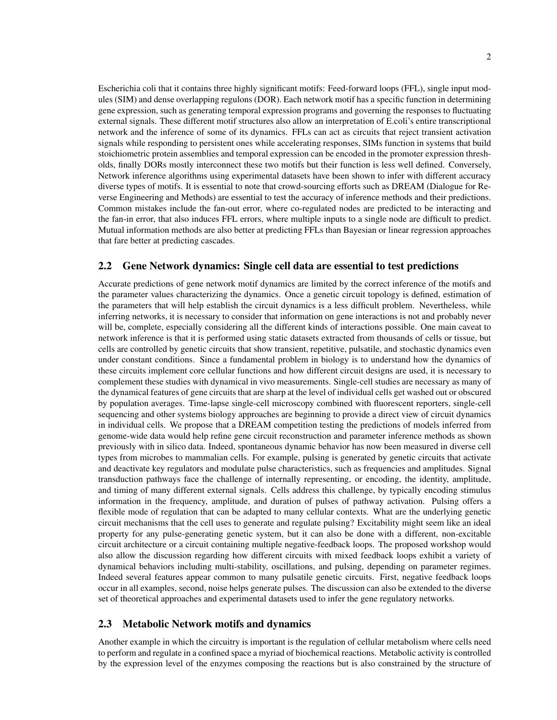Escherichia coli that it contains three highly significant motifs: Feed-forward loops (FFL), single input modules (SIM) and dense overlapping regulons (DOR). Each network motif has a specific function in determining gene expression, such as generating temporal expression programs and governing the responses to fluctuating external signals. These different motif structures also allow an interpretation of E.coli's entire transcriptional network and the inference of some of its dynamics. FFLs can act as circuits that reject transient activation signals while responding to persistent ones while accelerating responses, SIMs function in systems that build stoichiometric protein assemblies and temporal expression can be encoded in the promoter expression thresholds, finally DORs mostly interconnect these two motifs but their function is less well defined. Conversely, Network inference algorithms using experimental datasets have been shown to infer with different accuracy diverse types of motifs. It is essential to note that crowd-sourcing efforts such as DREAM (Dialogue for Reverse Engineering and Methods) are essential to test the accuracy of inference methods and their predictions. Common mistakes include the fan-out error, where co-regulated nodes are predicted to be interacting and the fan-in error, that also induces FFL errors, where multiple inputs to a single node are difficult to predict. Mutual information methods are also better at predicting FFLs than Bayesian or linear regression approaches that fare better at predicting cascades.

#### 2.2 Gene Network dynamics: Single cell data are essential to test predictions

Accurate predictions of gene network motif dynamics are limited by the correct inference of the motifs and the parameter values characterizing the dynamics. Once a genetic circuit topology is defined, estimation of the parameters that will help establish the circuit dynamics is a less difficult problem. Nevertheless, while inferring networks, it is necessary to consider that information on gene interactions is not and probably never will be, complete, especially considering all the different kinds of interactions possible. One main caveat to network inference is that it is performed using static datasets extracted from thousands of cells or tissue, but cells are controlled by genetic circuits that show transient, repetitive, pulsatile, and stochastic dynamics even under constant conditions. Since a fundamental problem in biology is to understand how the dynamics of these circuits implement core cellular functions and how different circuit designs are used, it is necessary to complement these studies with dynamical in vivo measurements. Single-cell studies are necessary as many of the dynamical features of gene circuits that are sharp at the level of individual cells get washed out or obscured by population averages. Time-lapse single-cell microscopy combined with fluorescent reporters, single-cell sequencing and other systems biology approaches are beginning to provide a direct view of circuit dynamics in individual cells. We propose that a DREAM competition testing the predictions of models inferred from genome-wide data would help refine gene circuit reconstruction and parameter inference methods as shown previously with in silico data. Indeed, spontaneous dynamic behavior has now been measured in diverse cell types from microbes to mammalian cells. For example, pulsing is generated by genetic circuits that activate and deactivate key regulators and modulate pulse characteristics, such as frequencies and amplitudes. Signal transduction pathways face the challenge of internally representing, or encoding, the identity, amplitude, and timing of many different external signals. Cells address this challenge, by typically encoding stimulus information in the frequency, amplitude, and duration of pulses of pathway activation. Pulsing offers a flexible mode of regulation that can be adapted to many cellular contexts. What are the underlying genetic circuit mechanisms that the cell uses to generate and regulate pulsing? Excitability might seem like an ideal property for any pulse-generating genetic system, but it can also be done with a different, non-excitable circuit architecture or a circuit containing multiple negative-feedback loops. The proposed workshop would also allow the discussion regarding how different circuits with mixed feedback loops exhibit a variety of dynamical behaviors including multi-stability, oscillations, and pulsing, depending on parameter regimes. Indeed several features appear common to many pulsatile genetic circuits. First, negative feedback loops occur in all examples, second, noise helps generate pulses. The discussion can also be extended to the diverse set of theoretical approaches and experimental datasets used to infer the gene regulatory networks.

#### 2.3 Metabolic Network motifs and dynamics

Another example in which the circuitry is important is the regulation of cellular metabolism where cells need to perform and regulate in a confined space a myriad of biochemical reactions. Metabolic activity is controlled by the expression level of the enzymes composing the reactions but is also constrained by the structure of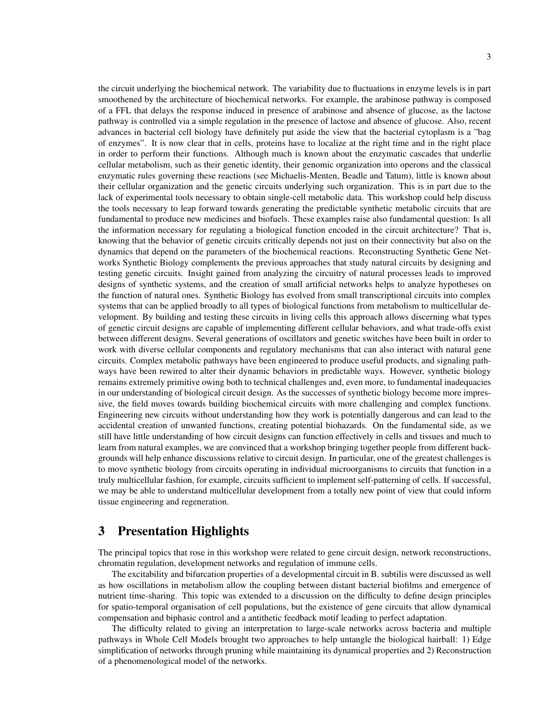the circuit underlying the biochemical network. The variability due to fluctuations in enzyme levels is in part smoothened by the architecture of biochemical networks. For example, the arabinose pathway is composed of a FFL that delays the response induced in presence of arabinose and absence of glucose, as the lactose pathway is controlled via a simple regulation in the presence of lactose and absence of glucose. Also, recent advances in bacterial cell biology have definitely put aside the view that the bacterial cytoplasm is a "bag of enzymes". It is now clear that in cells, proteins have to localize at the right time and in the right place in order to perform their functions. Although much is known about the enzymatic cascades that underlie cellular metabolism, such as their genetic identity, their genomic organization into operons and the classical enzymatic rules governing these reactions (see Michaelis-Menten, Beadle and Tatum), little is known about their cellular organization and the genetic circuits underlying such organization. This is in part due to the lack of experimental tools necessary to obtain single-cell metabolic data. This workshop could help discuss the tools necessary to leap forward towards generating the predictable synthetic metabolic circuits that are fundamental to produce new medicines and biofuels. These examples raise also fundamental question: Is all the information necessary for regulating a biological function encoded in the circuit architecture? That is, knowing that the behavior of genetic circuits critically depends not just on their connectivity but also on the dynamics that depend on the parameters of the biochemical reactions. Reconstructing Synthetic Gene Networks Synthetic Biology complements the previous approaches that study natural circuits by designing and testing genetic circuits. Insight gained from analyzing the circuitry of natural processes leads to improved designs of synthetic systems, and the creation of small artificial networks helps to analyze hypotheses on the function of natural ones. Synthetic Biology has evolved from small transcriptional circuits into complex systems that can be applied broadly to all types of biological functions from metabolism to multicellular development. By building and testing these circuits in living cells this approach allows discerning what types of genetic circuit designs are capable of implementing different cellular behaviors, and what trade-offs exist between different designs. Several generations of oscillators and genetic switches have been built in order to work with diverse cellular components and regulatory mechanisms that can also interact with natural gene circuits. Complex metabolic pathways have been engineered to produce useful products, and signaling pathways have been rewired to alter their dynamic behaviors in predictable ways. However, synthetic biology remains extremely primitive owing both to technical challenges and, even more, to fundamental inadequacies in our understanding of biological circuit design. As the successes of synthetic biology become more impressive, the field moves towards building biochemical circuits with more challenging and complex functions. Engineering new circuits without understanding how they work is potentially dangerous and can lead to the accidental creation of unwanted functions, creating potential biohazards. On the fundamental side, as we still have little understanding of how circuit designs can function effectively in cells and tissues and much to learn from natural examples, we are convinced that a workshop bringing together people from different backgrounds will help enhance discussions relative to circuit design. In particular, one of the greatest challenges is to move synthetic biology from circuits operating in individual microorganisms to circuits that function in a truly multicellular fashion, for example, circuits sufficient to implement self-patterning of cells. If successful, we may be able to understand multicellular development from a totally new point of view that could inform tissue engineering and regeneration.

# 3 Presentation Highlights

The principal topics that rose in this workshop were related to gene circuit design, network reconstructions, chromatin regulation, development networks and regulation of immune cells.

The excitability and bifurcation properties of a developmental circuit in B. subtilis were discussed as well as how oscillations in metabolism allow the coupling between distant bacterial biofilms and emergence of nutrient time-sharing. This topic was extended to a discussion on the difficulty to define design principles for spatio-temporal organisation of cell populations, but the existence of gene circuits that allow dynamical compensation and biphasic control and a antithetic feedback motif leading to perfect adaptation.

The difficulty related to giving an interpretation to large-scale networks across bacteria and multiple pathways in Whole Cell Models brought two approaches to help untangle the biological hairball: 1) Edge simplification of networks through pruning while maintaining its dynamical properties and 2) Reconstruction of a phenomenological model of the networks.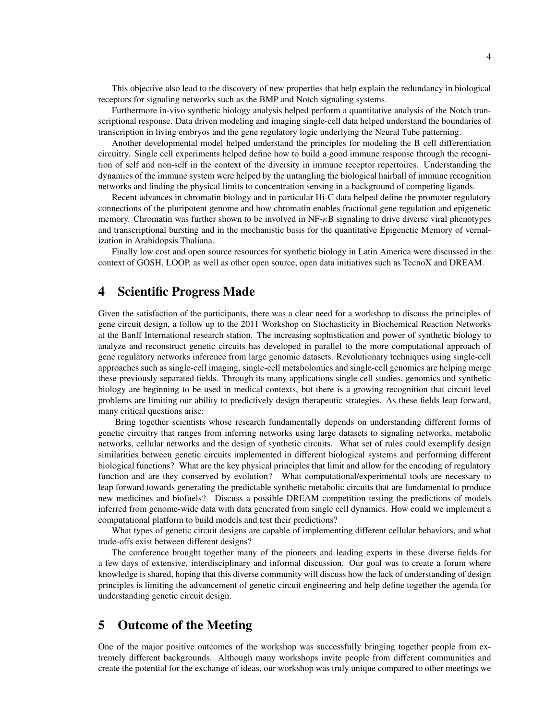This objective also lead to the discovery of new properties that help explain the redundancy in biological receptors for signaling networks such as the BMP and Notch signaling systems.

Furthermore in-vivo synthetic biology analysis helped perform a quantitative analysis of the Notch transcriptional response. Data driven modeling and imaging single-cell data helped understand the boundaries of transcription in living embryos and the gene regulatory logic underlying the Neural Tube patterning.

Another developmental model helped understand the principles for modeling the B cell differentiation circuitry. Single cell experiments helped define how to build a good immune response through the recognition of self and non-self in the context of the diversity in immune receptor repertoires. Understanding the dynamics of the immune system were helped by the untangling the biological hairball of immune recognition networks and finding the physical limits to concentration sensing in a background of competing ligands.

Recent advances in chromatin biology and in particular Hi-C data helped define the promoter regulatory connections of the pluripotent genome and how chromatin enables fractional gene regulation and epigenetic memory. Chromatin was further shown to be involved in  $NF-\kappa B$  signaling to drive diverse viral phenotypes and transcriptional bursting and in the mechanistic basis for the quantitative Epigenetic Memory of vernalization in Arabidopsis Thaliana.

Finally low cost and open source resources for synthetic biology in Latin America were discussed in the context of GOSH, LOOP, as well as other open source, open data initiatives such as TecnoX and DREAM.

### 4 Scientific Progress Made

Given the satisfaction of the participants, there was a clear need for a workshop to discuss the principles of gene circuit design, a follow up to the 2011 Workshop on Stochasticity in Biochemical Reaction Networks at the Banff International research station. The increasing sophistication and power of synthetic biology to analyze and reconstruct genetic circuits has developed in parallel to the more computational approach of gene regulatory networks inference from large genomic datasets. Revolutionary techniques using single-cell approaches such as single-cell imaging, single-cell metabolomics and single-cell genomics are helping merge these previously separated fields. Through its many applications single cell studies, genomics and synthetic biology are beginning to be used in medical contexts, but there is a growing recognition that circuit level problems are limiting our ability to predictively design therapeutic strategies. As these fields leap forward, many critical questions arise:

Bring together scientists whose research fundamentally depends on understanding different forms of genetic circuitry that ranges from inferring networks using large datasets to signaling networks, metabolic networks, cellular networks and the design of synthetic circuits. What set of rules could exemplify design similarities between genetic circuits implemented in different biological systems and performing different biological functions? What are the key physical principles that limit and allow for the encoding of regulatory function and are they conserved by evolution? What computational/experimental tools are necessary to leap forward towards generating the predictable synthetic metabolic circuits that are fundamental to produce new medicines and biofuels? Discuss a possible DREAM competition testing the predictions of models inferred from genome-wide data with data generated from single cell dynamics. How could we implement a computational platform to build models and test their predictions?

What types of genetic circuit designs are capable of implementing different cellular behaviors, and what trade-offs exist between different designs?

The conference brought together many of the pioneers and leading experts in these diverse fields for a few days of extensive, interdisciplinary and informal discussion. Our goal was to create a forum where knowledge is shared, hoping that this diverse community will discuss how the lack of understanding of design principles is limiting the advancement of genetic circuit engineering and help define together the agenda for understanding genetic circuit design.

### 5 Outcome of the Meeting

One of the major positive outcomes of the workshop was successfully bringing together people from extremely different backgrounds. Although many workshops invite people from different communities and create the potential for the exchange of ideas, our workshop was truly unique compared to other meetings we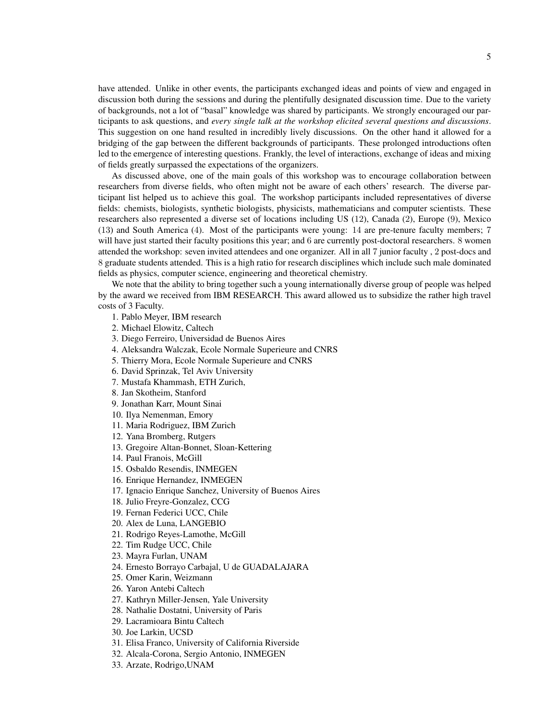have attended. Unlike in other events, the participants exchanged ideas and points of view and engaged in discussion both during the sessions and during the plentifully designated discussion time. Due to the variety of backgrounds, not a lot of "basal" knowledge was shared by participants. We strongly encouraged our participants to ask questions, and *every single talk at the workshop elicited several questions and discussions*. This suggestion on one hand resulted in incredibly lively discussions. On the other hand it allowed for a bridging of the gap between the different backgrounds of participants. These prolonged introductions often led to the emergence of interesting questions. Frankly, the level of interactions, exchange of ideas and mixing of fields greatly surpassed the expectations of the organizers.

As discussed above, one of the main goals of this workshop was to encourage collaboration between researchers from diverse fields, who often might not be aware of each others' research. The diverse participant list helped us to achieve this goal. The workshop participants included representatives of diverse fields: chemists, biologists, synthetic biologists, physicists, mathematicians and computer scientists. These researchers also represented a diverse set of locations including US (12), Canada (2), Europe (9), Mexico (13) and South America (4). Most of the participants were young: 14 are pre-tenure faculty members; 7 will have just started their faculty positions this year; and 6 are currently post-doctoral researchers. 8 women attended the workshop: seven invited attendees and one organizer. All in all 7 junior faculty , 2 post-docs and 8 graduate students attended. This is a high ratio for research disciplines which include such male dominated fields as physics, computer science, engineering and theoretical chemistry.

We note that the ability to bring together such a young internationally diverse group of people was helped by the award we received from IBM RESEARCH. This award allowed us to subsidize the rather high travel costs of 3 Faculty.

1. Pablo Meyer, IBM research

2. Michael Elowitz, Caltech

3. Diego Ferreiro, Universidad de Buenos Aires

4. Aleksandra Walczak, Ecole Normale Superieure and CNRS

5. Thierry Mora, Ecole Normale Superieure and CNRS

6. David Sprinzak, Tel Aviv University

7. Mustafa Khammash, ETH Zurich,

8. Jan Skotheim, Stanford

9. Jonathan Karr, Mount Sinai

10. Ilya Nemenman, Emory

11. Maria Rodriguez, IBM Zurich

12. Yana Bromberg, Rutgers

13. Gregoire Altan-Bonnet, Sloan-Kettering

14. Paul Franois, McGill

15. Osbaldo Resendis, INMEGEN

16. Enrique Hernandez, INMEGEN

17. Ignacio Enrique Sanchez, University of Buenos Aires

18. Julio Freyre-Gonzalez, CCG

19. Fernan Federici UCC, Chile

20. Alex de Luna, LANGEBIO

21. Rodrigo Reyes-Lamothe, McGill

22. Tim Rudge UCC, Chile

23. Mayra Furlan, UNAM

24. Ernesto Borrayo Carbajal, U de GUADALAJARA

25. Omer Karin, Weizmann

26. Yaron Antebi Caltech

27. Kathryn Miller-Jensen, Yale University

28. Nathalie Dostatni, University of Paris

29. Lacramioara Bintu Caltech

30. Joe Larkin, UCSD

31. Elisa Franco, University of California Riverside

32. Alcala-Corona, Sergio Antonio, INMEGEN

33. Arzate, Rodrigo,UNAM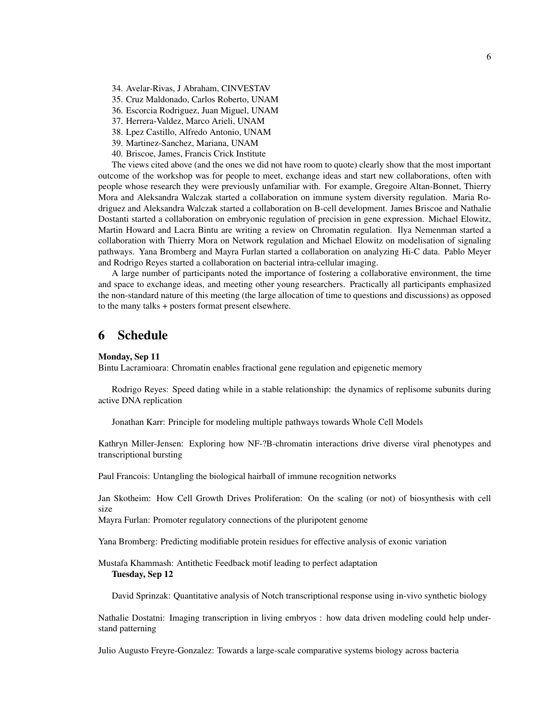34. Avelar-Rivas, J Abraham, CINVESTAV

35. Cruz Maldonado, Carlos Roberto, UNAM

- 36. Escorcia Rodriguez, Juan Miguel, UNAM
- 37. Herrera-Valdez, Marco Arieli, UNAM
- 38. Lpez Castillo, Alfredo Antonio, UNAM
- 39. Martinez-Sanchez, Mariana, UNAM
- 40. Briscoe, James, Francis Crick Institute

The views cited above (and the ones we did not have room to quote) clearly show that the most important outcome of the workshop was for people to meet, exchange ideas and start new collaborations, often with people whose research they were previously unfamiliar with. For example, Gregoire Altan-Bonnet, Thierry Mora and Aleksandra Walczak started a collaboration on immune system diversity regulation. Maria Rodriguez and Aleksandra Walczak started a collaboration on B-cell development. James Briscoe and Nathalie Dostanti started a collaboration on embryonic regulation of precision in gene expression. Michael Elowitz, Martin Howard and Lacra Bintu are writing a review on Chromatin regulation. Ilya Nemenman started a collaboration with Thierry Mora on Network regulation and Michael Elowitz on modelisation of signaling pathways. Yana Bromberg and Mayra Furlan started a collaboration on analyzing Hi-C data. Pablo Meyer and Rodrigo Reyes started a collaboration on bacterial intra-cellular imaging.

A large number of participants noted the importance of fostering a collaborative environment, the time and space to exchange ideas, and meeting other young researchers. Practically all participants emphasized the non-standard nature of this meeting (the large allocation of time to questions and discussions) as opposed to the many talks + posters format present elsewhere.

### 6 Schedule

#### Monday, Sep 11

Bintu Lacramioara: Chromatin enables fractional gene regulation and epigenetic memory

Rodrigo Reyes: Speed dating while in a stable relationship: the dynamics of replisome subunits during active DNA replication

Jonathan Karr: Principle for modeling multiple pathways towards Whole Cell Models

Kathryn Miller-Jensen: Exploring how NF-?B-chromatin interactions drive diverse viral phenotypes and transcriptional bursting

Paul Francois: Untangling the biological hairball of immune recognition networks

Jan Skotheim: How Cell Growth Drives Proliferation: On the scaling (or not) of biosynthesis with cell size

Mayra Furlan: Promoter regulatory connections of the pluripotent genome

Yana Bromberg: Predicting modifiable protein residues for effective analysis of exonic variation

Mustafa Khammash: Antithetic Feedback motif leading to perfect adaptation Tuesday, Sep 12

David Sprinzak: Quantitative analysis of Notch transcriptional response using in-vivo synthetic biology

Nathalie Dostatni: Imaging transcription in living embryos : how data driven modeling could help understand patterning

Julio Augusto Freyre-Gonzalez: Towards a large-scale comparative systems biology across bacteria